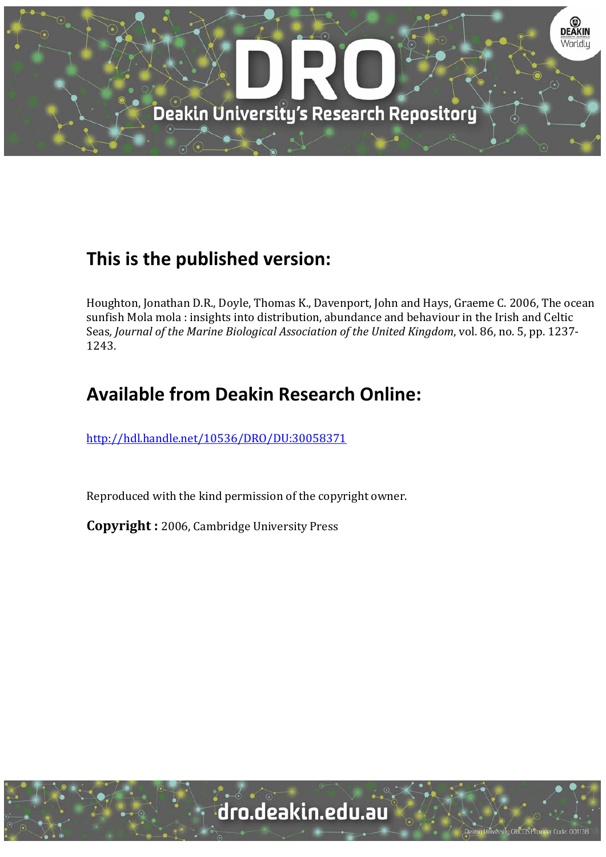

# **This is the published version:**

Houghton, Jonathan D.R., Doyle, Thomas K., Davenport, John and Hays, Graeme C. 2006, The ocean sunfish Mola mola : insights into distribution, abundance and behaviour in the Irish and Celtic Seas*, Journal of the Marine Biological Association of the United Kingdom*, vol. 86, no. 5, pp. 1237‐ 1243. 

# **Available from Deakin Research Online:**

http://hdl.handle.net/10536/DRO/DU:30058371

Reproduced with the kind permission of the copyright owner.

**Copyright** : 2006, Cambridge University Press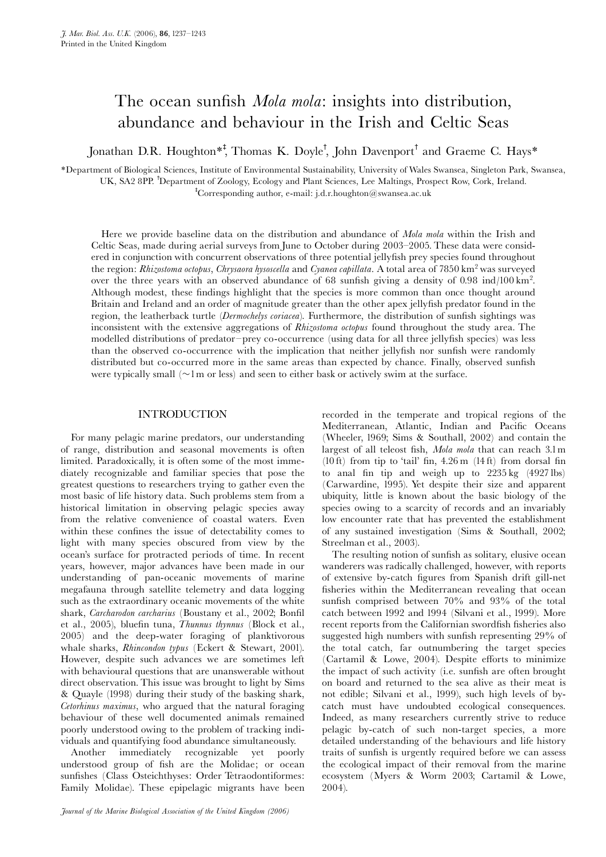### The ocean sunfish *Mola mola*: insights into distribution, abundance and behaviour in the Irish and Celtic Seas

Jonathan D.R. Houghton<sup>\*†</sup>, Thomas K. Doyle<sup>†</sup>, John Davenport<sup>†</sup> and Graeme C. Hays\*

\*Department of Biological Sciences, Institute of Environmental Sustainability, University of Wales Swansea, Singleton Park, Swansea, UK, SA2 8PP. Department of Zoology, Ecology and Plant Sciences, Lee Maltings, Prospect Row, Cork, Ireland. Corresponding author, e-mail: j.d.r.houghton@swansea.ac.uk

Here we provide baseline data on the distribution and abundance of *Mola mola* within the Irish and Celtic Seas, made during aerial surveys from June to October during 2003–2005. These data were considered in conjunction with concurrent observations of three potential jellyfish prey species found throughout the region: Rhizostoma octopus, Chrysaora hysoscella and Cyanea capillata. A total area of 7850 km<sup>2</sup> was surveyed over the three years with an observed abundance of 68 sunfish giving a density of 0.98 ind/100 km<sup>2</sup>. Although modest, these findings highlight that the species is more common than once thought around Britain and Ireland and an order of magnitude greater than the other apex jelly¢sh predator found in the region, the leatherback turtle (Dermochelys coriacea). Furthermore, the distribution of sunfish sightings was inconsistent with the extensive aggregations of Rhizostoma octopus found throughout the study area. The modelled distributions of predator-prey co-occurrence (using data for all three jellyfish species) was less than the observed co-occurrence with the implication that neither jellyfish nor sunfish were randomly distributed but co-occurred more in the same areas than expected by chance. Finally, observed sunfish were typically small ( $\sim$ l m or less) and seen to either bask or actively swim at the surface.

#### INTRODUCTION

For many pelagic marine predators, our understanding of range, distribution and seasonal movements is often limited. Paradoxically, it is often some of the most immediately recognizable and familiar species that pose the greatest questions to researchers trying to gather even the most basic of life history data. Such problems stem from a historical limitation in observing pelagic species away from the relative convenience of coastal waters. Even within these confines the issue of detectability comes to light with many species obscured from view by the ocean's surface for protracted periods of time. In recent years, however, major advances have been made in our understanding of pan-oceanic movements of marine megafauna through satellite telemetry and data logging such as the extraordinary oceanic movements of the white shark, Carcharodon carcharius (Boustany et al., 2002; Bonfil et al., 2005), bluefin tuna, Thunnus thynnus (Block et al., 2005) and the deep-water foraging of planktivorous whale sharks, Rhincondon typus (Eckert & Stewart, 2001). However, despite such advances we are sometimes left with behavioural questions that are unanswerable without direct observation. This issue was brought to light by Sims & Quayle (1998) during their study of the basking shark, Cetorhinus maximus, who argued that the natural foraging behaviour of these well documented animals remained poorly understood owing to the problem of tracking individuals and quantifying food abundance simultaneously.

Another immediately recognizable yet poorly understood group of fish are the Molidae; or ocean sunfishes (Class Osteichthyses: Order Tetraodontiformes: Family Molidae). These epipelagic migrants have been

Journal of the Marine Biological Association of the United Kingdom (2006)

recorded in the temperate and tropical regions of the Mediterranean, Atlantic, Indian and Pacific Oceans (Wheeler, 1969; Sims & Southall, 2002) and contain the largest of all teleost fish, Mola mola that can reach 3.1m (10 ft) from tip to 'tail' fin,  $4.26$  m (14 ft) from dorsal fin to anal ¢n tip and weigh up to 2235 kg (4927 lbs) (Carwardine, 1995). Yet despite their size and apparent ubiquity, little is known about the basic biology of the species owing to a scarcity of records and an invariably low encounter rate that has prevented the establishment of any sustained investigation (Sims & Southall, 2002; Streelman et al., 2003).

The resulting notion of sunfish as solitary, elusive ocean wanderers was radically challenged, however, with reports of extensive by-catch ¢gures from Spanish drift gill-net fisheries within the Mediterranean revealing that ocean sunfish comprised between  $70\%$  and  $93\%$  of the total catch between 1992 and 1994 (Silvani et al., 1999). More recent reports from the Californian swordfish fisheries also suggested high numbers with sunfish representing 29% of the total catch, far outnumbering the target species  $(Cartamil \& Lowe, 2004)$ . Despite efforts to minimize the impact of such activity (i.e. sunfish are often brought on board and returned to the sea alive as their meat is not edible; Silvani et al., 1999), such high levels of bycatch must have undoubted ecological consequences. Indeed, as many researchers currently strive to reduce pelagic by-catch of such non-target species, a more detailed understanding of the behaviours and life history traits of sunfish is urgently required before we can assess the ecological impact of their removal from the marine ecosystem (Myers & Worm 2003; Cartamil & Lowe, 2004).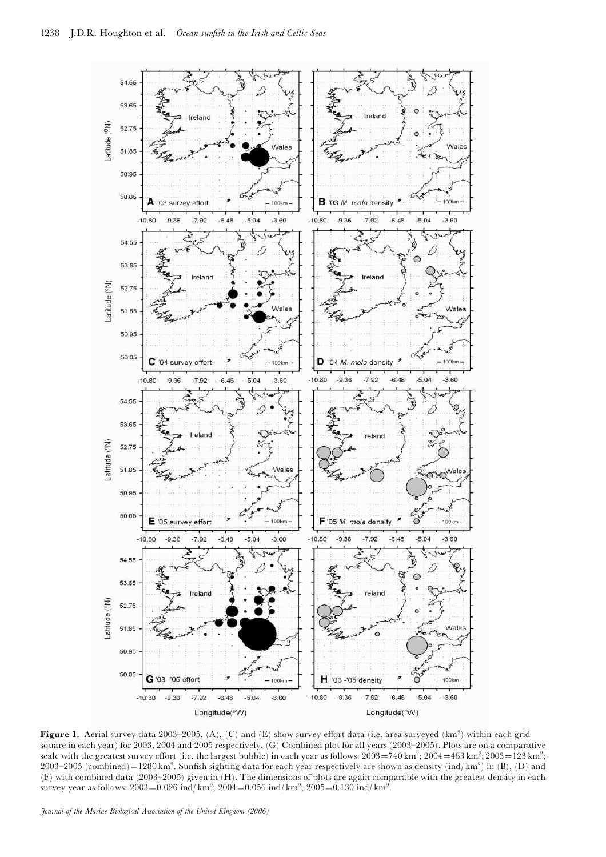

Figure 1. Aerial survey data 2003–2005. (A), (C) and (E) show survey effort data (i.e. area surveyed (km<sup>2</sup>) within each grid square in each year) for 2003, 2004 and 2005 respectively. (G) Combined plot for all years  $(2003–2005)$ . Plots are on a comparative scale with the greatest survey effort (i.e. the largest bubble) in each year as follows:  $2003=740 \text{ km}^2$ ;  $2004=463 \text{ km}^2$ ;  $2003=123 \text{ km}^2$ ;  $2003-2005$  (combined)=1280 km<sup>2</sup>. Sunfish sighting data for each year respectively are shown as density (ind/ km<sup>2</sup>) in (B), (D) and  $(F)$  with combined data (2003–2005) given in  $(H)$ . The dimensions of plots are again comparable with the greatest density in each survey year as follows:  $2003=0.026$  ind/ km<sup>2</sup>;  $2004=0.056$  ind/ km<sup>2</sup>;  $2005=0.130$  ind/ km<sup>2</sup>.

Journal of the Marine Biological Association of the United Kingdom (2006)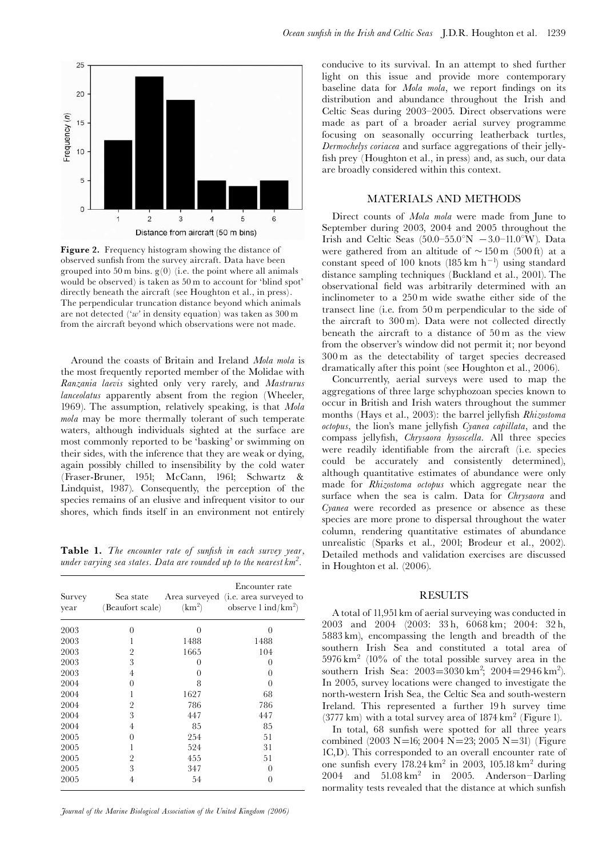

Figure 2. Frequency histogram showing the distance of observed sun¢sh from the survey aircraft. Data have been grouped into 50 m bins.  $g(0)$  (i.e. the point where all animals would be observed) is taken as 50 m to account for 'blind spot' directly beneath the aircraft (see Houghton et al., in press). The perpendicular truncation distance beyond which animals are not detected (' $w$ ' in density equation) was taken as 300 m from the aircraft beyond which observations were not made.

Around the coasts of Britain and Ireland Mola mola is the most frequently reported member of the Molidae with Ranzania laevis sighted only very rarely, and Mastrurus lanceolatus apparently absent from the region (Wheeler, 1969). The assumption, relatively speaking, is that Mola mola may be more thermally tolerant of such temperate waters, although individuals sighted at the surface are most commonly reported to be 'basking' or swimming on their sides, with the inference that they are weak or dying, again possibly chilled to insensibility by the cold water (Fraser-Bruner, 1951; McCann, 1961; Schwartz & Lindquist, 1987). Consequently, the perception of the species remains of an elusive and infrequent visitor to our shores, which finds itself in an environment not entirely

Table 1. The encounter rate of sunfish in each survey year, under varying sea states. Data are rounded up to the nearest km<sup>2</sup>.

| Survey<br>year | Sea state<br>(Beaufort scale) |          | Encounter rate<br>Area surveyed ( <i>i.e.</i> area surveyed to<br>$(km2)$ observe $1 ind/km2$ ) |
|----------------|-------------------------------|----------|-------------------------------------------------------------------------------------------------|
| 2003           | 0                             | $\Omega$ | 0                                                                                               |
| 2003           |                               | 1488     | 1488                                                                                            |
| 2003           | $\overline{2}$                | 1665     | 104                                                                                             |
| 2003           | 3                             | 0        | 0                                                                                               |
| 2003           | 4                             | 0        | 0                                                                                               |
| 2004           | 0                             | 8        | 0                                                                                               |
| 2004           | 1                             | 1627     | 68                                                                                              |
| 2004           | $\overline{2}$                | 786      | 786                                                                                             |
| 2004           | 3                             | 447      | 447                                                                                             |
| 2004           | 4                             | 85       | 85                                                                                              |
| 2005           | $\theta$                      | 254      | 51                                                                                              |
| 2005           | 1                             | 524      | 31                                                                                              |
| 2005           | $\overline{2}$                | 455      | 51                                                                                              |
| 2005           | 3                             | 347      | 0                                                                                               |
| 2005           | 4                             | 54       | 0                                                                                               |

Journal of the Marine Biological Association of the United Kingdom (2006)

conducive to its survival. In an attempt to shed further light on this issue and provide more contemporary baseline data for *Mola mola*, we report findings on its distribution and abundance throughout the Irish and Celtic Seas during 2003-2005. Direct observations were made as part of a broader aerial survey programme focusing on seasonally occurring leatherback turtles, Dermochelys coriacea and surface aggregations of their jelly fish prey (Houghton et al., in press) and, as such, our data are broadly considered within this context.

#### MATERIALS AND METHODS

Direct counts of *Mola mola* were made from June to September during 2003, 2004 and 2005 throughout the Irish and Celtic Seas (50.0-55.0°N  $-3.0$ -11.0°W). Data were gathered from an altitude of  $\sim 150$  m (500 ft) at a constant speed of 100 knots  $(185 \text{ km h}^{-1})$  using standard distance sampling techniques (Buckland et al., 2001). The observational ¢eld was arbitrarily determined with an inclinometer to a 250 m wide swathe either side of the transect line (i.e. from 50 m perpendicular to the side of the aircraft to 300 m). Data were not collected directly beneath the aircraft to a distance of 50 m as the view from the observer's window did not permit it; nor beyond 300 m as the detectability of target species decreased dramatically after this point (see Houghton et al., 2006).

Concurrently, aerial surveys were used to map the aggregations of three large schyphozoan species known to occur in British and Irish waters throughout the summer months (Hays et al., 2003): the barrel jellyfish Rhizostoma octopus, the lion's mane jellyfish Cyanea capillata, and the compass jellyfish, Chrysaora hysoscella. All three species were readily identifiable from the aircraft (i.e. species could be accurately and consistently determined), although quantitative estimates of abundance were only made for Rhizostoma octopus which aggregate near the surface when the sea is calm. Data for *Chrysaora* and Cyanea were recorded as presence or absence as these species are more prone to dispersal throughout the water column, rendering quantitative estimates of abundance unrealistic (Sparks et al., 2001; Brodeur et al., 2002). Detailed methods and validation exercises are discussed in Houghton et al. (2006).

### RESULTS

A total of 11,951km of aerial surveying was conducted in 2003 and 2004 (2003: 33 h, 6068 km; 2004: 32 h, 5883 km), encompassing the length and breadth of the southern Irish Sea and constituted a total area of  $5976 \text{ km}^2$  (10% of the total possible survey area in the southern Irish Sea: 2003=3030 km<sup>2</sup>; 2004=2946 km<sup>2</sup>). In 2005, survey locations were changed to investigate the north-western Irish Sea, the Celtic Sea and south-western Ireland. This represented a further 19 h survey time (3777 km) with a total survey area of 1874 km<sup>2</sup> (Figure 1).

In total, 68 sunfish were spotted for all three years combined (2003 N=16; 2004 N=23; 2005 N=31) (Figure 1C,D). This corresponded to an overall encounter rate of one sun¢sh every 178.24 km<sup>2</sup> in 2003, 105.18 km<sup>2</sup> during 2004 and  $51.08 \text{ km}^2$  in 2005. Anderson-Darling normality tests revealed that the distance at which sunfish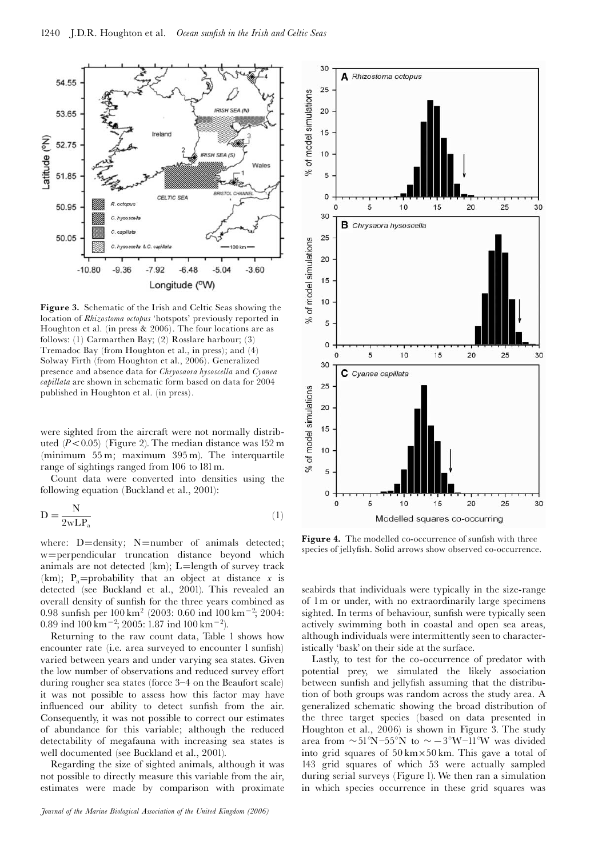

Figure 3. Schematic of the Irish and Celtic Seas showing the location of Rhizostoma octopus 'hotspots' previously reported in Houghton et al. (in press & 2006). The four locations are as follows: (1) Carmarthen Bay; (2) Rosslare harbour; (3) Tremadoc Bay (from Houghton et al., in press); and (4) Solway Firth (from Houghton et al., 2006). Generalized presence and absence data for Chryosaora hysoscella and Cyanea capillata are shown in schematic form based on data for 2004 published in Houghton et al. (in press).

were sighted from the aircraft were not normally distributed  $(P<0.05)$  (Figure 2). The median distance was 152 m (minimum 55 m; maximum 395 m). The interquartile range of sightings ranged from 106 to 181m.

Count data were converted into densities using the following equation (Buckland et al., 2001):

$$
D = \frac{N}{2wLP_a} \tag{1}
$$

where:  $D =$ density; N=number of animals detected; w=perpendicular truncation distance beyond which animals are not detected (km);  $L =$ length of survey track (km); P<sub>a</sub>=probability that an object at distance x is detected (see Buckland et al., 2001). This revealed an overall density of sunfish for the three years combined as 0.98 sunfish per  $100 \text{ km}^2$  (2003: 0.60 ind  $100 \text{ km}^{-2}$ ; 2004:  $0.89$  ind  $100 \text{ km}^{-2}$ ;  $2005$ : 1.87 ind  $100 \text{ km}^{-2}$ ).

Returning to the raw count data, Table 1 shows how encounter rate (i.e. area surveyed to encounter 1 sunfish) varied between years and under varying sea states. Given the low number of observations and reduced survey effort during rougher sea states (force 3-4 on the Beaufort scale) it was not possible to assess how this factor may have influenced our ability to detect sunfish from the air. Consequently, it was not possible to correct our estimates of abundance for this variable; although the reduced detectability of megafauna with increasing sea states is well documented (see Buckland et al., 2001).

Regarding the size of sighted animals, although it was not possible to directly measure this variable from the air, estimates were made by comparison with proximate



Figure 4. The modelled co-occurrence of sunfish with three species of jellyfish. Solid arrows show observed co-occurrence.

seabirds that individuals were typically in the size-range of 1m or under, with no extraordinarily large specimens sighted. In terms of behaviour, sunfish were typically seen actively swimming both in coastal and open sea areas, although individuals were intermittently seen to characteristically 'bask' on their side at the surface.

Lastly, to test for the co-occurrence of predator with potential prey, we simulated the likely association between sunfish and jellyfish assuming that the distribution of both groups was random across the study area. A generalized schematic showing the broad distribution of the three target species (based on data presented in Houghton et al., 2006) is shown in Figure 3. The study area from  $\sim 51^{\circ}N - 55^{\circ}N$  to  $\sim -3^{\circ}W - 11^{\circ}W$  was divided into grid squares of 50 km-50 km. This gave a total of 143 grid squares of which 53 were actually sampled during serial surveys (Figure 1). We then ran a simulation in which species occurrence in these grid squares was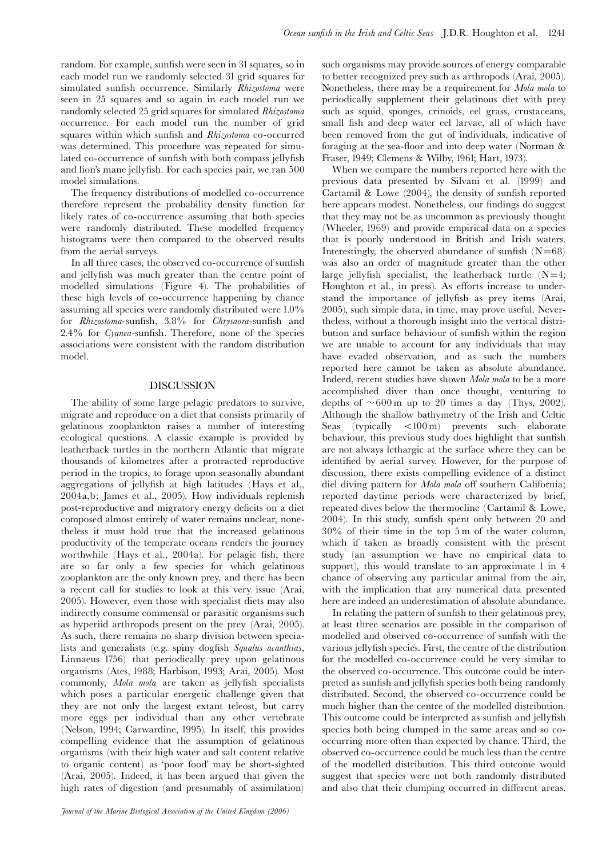random. For example, sunfish were seen in 31 squares, so in each model run we randomly selected 31 grid squares for simulated sunfish occurrence. Similarly Rhizostoma were seen in 25 squares and so again in each model run we randomly selected 25 grid squares for simulated Rhizostoma occurrence. For each model run the number of grid squares within which sunfish and Rhizostoma co-occurred was determined. This procedure was repeated for simulated co-occurrence of sunfish with both compass jellyfish and lion's mane jelly¢sh. For each species pair, we ran 500 model simulations.

The frequency distributions of modelled co-occurrence therefore represent the probability density function for likely rates of co-occurrence assuming that both species were randomly distributed. These modelled frequency histograms were then compared to the observed results from the aerial surveys.

In all three cases, the observed co-occurrence of sunfish and jelly¢sh was much greater than the centre point of modelled simulations (Figure 4). The probabilities of these high levels of co-occurrence happening by chance assuming all species were randomly distributed were 1.0% for Rhizostoma-sunfish, 3.8% for Chrysaora-sunfish and  $2.4\%$  for *Cyanea*-sunfish. Therefore, none of the species associations were consistent with the random distribution model.

#### **DISCUSSION**

The ability of some large pelagic predators to survive, migrate and reproduce on a diet that consists primarily of gelatinous zooplankton raises a number of interesting ecological questions. A classic example is provided by leatherback turtles in the northern Atlantic that migrate thousands of kilometres after a protracted reproductive period in the tropics, to forage upon seasonally abundant aggregations of jellyfish at high latitudes (Hays et al., 2004a,b; James et al., 2005). How individuals replenish post-reproductive and migratory energy deficits on a diet composed almost entirely of water remains unclear, nonetheless it must hold true that the increased gelatinous productivity of the temperate oceans renders the journey worthwhile (Hays et al., 2004a). For pelagic fish, there are so far only a few species for which gelatinous zooplankton are the only known prey, and there has been a recent call for studies to look at this very issue (Arai, 2005). However, even those with specialist diets may also indirectly consume commensal or parasitic organisms such as hyperiid arthropods present on the prey (Arai, 2005). As such, there remains no sharp division between specialists and generalists (e.g. spiny dogfish Squalus acanthias, Linnaeus 1756) that periodically prey upon gelatinous organisms (Ates, 1988; Harbison, 1993; Arai, 2005). Most commonly, Mola mola are taken as jellyfish specialists which poses a particular energetic challenge given that they are not only the largest extant teleost, but carry more eggs per individual than any other vertebrate (Nelson, 1994; Carwardine, 1995). In itself, this provides compelling evidence that the assumption of gelatinous organisms (with their high water and salt content relative to organic content) as 'poor food' may be short-sighted (Arai, 2005). Indeed, it has been argued that given the high rates of digestion (and presumably of assimilation)

such organisms may provide sources of energy comparable to better recognized prey such as arthropods (Arai, 2005). Nonetheless, there may be a requirement for Mola mola to periodically supplement their gelatinous diet with prey such as squid, sponges, crinoids, eel grass, crustaceans, small fish and deep water eel larvae, all of which have been removed from the gut of individuals, indicative of foraging at the sea-floor and into deep water (Norman  $\&$ Fraser, 1949; Clemens & Wilby, 1961; Hart, 1973).

When we compare the numbers reported here with the previous data presented by Silvani et al. (1999) and Cartamil & Lowe  $(2004)$ , the density of sunfish reported here appears modest. Nonetheless, our findings do suggest that they may not be as uncommon as previously thought (Wheeler, 1969) and provide empirical data on a species that is poorly understood in British and Irish waters. Interestingly, the observed abundance of sunfish  $(N=68)$ was also an order of magnitude greater than the other large jellyfish specialist, the leatherback turtle  $(N=4;$ Houghton et al., in press). As efforts increase to understand the importance of jellyfish as prey items (Arai, 2005), such simple data, in time, may prove useful. Nevertheless, without a thorough insight into the vertical distribution and surface behaviour of sunfish within the region we are unable to account for any individuals that may have evaded observation, and as such the numbers reported here cannot be taken as absolute abundance. Indeed, recent studies have shown Mola mola to be a more accomplished diver than once thought, venturing to depths of  $\sim 600 \,\mathrm{m}$  up to 20 times a day (Thys, 2002). Although the shallow bathymetry of the Irish and Celtic Seas (typically  $< 100 \text{ m}$ ) prevents such elaborate behaviour, this previous study does highlight that sunfish are not always lethargic at the surface where they can be identified by aerial survey. However, for the purpose of discussion, there exists compelling evidence of a distinct diel diving pattern for *Mola mola* off southern California; reported daytime periods were characterized by brief, repeated dives below the thermocline (Cartamil & Lowe, 2004). In this study, sunfish spent only between 20 and 30% of their time in the top 5 m of the water column, which if taken as broadly consistent with the present study (an assumption we have no empirical data to support), this would translate to an approximate 1 in 4 chance of observing any particular animal from the air, with the implication that any numerical data presented here are indeed an underestimation of absolute abundance.

In relating the pattern of sunfish to their gelatinous prey, at least three scenarios are possible in the comparison of modelled and observed co-occurrence of sunfish with the various jelly¢sh species. First, the centre of the distribution for the modelled co-occurrence could be very similar to the observed co-occurrence. This outcome could be interpreted as sunfish and jellyfish species both being randomly distributed. Second, the observed co-occurrence could be much higher than the centre of the modelled distribution. This outcome could be interpreted as sunfish and jellyfish species both being clumped in the same areas and so cooccurring more often than expected by chance. Third, the observed co-occurrence could be much less than the centre of the modelled distribution. This third outcome would suggest that species were not both randomly distributed and also that their clumping occurred in different areas.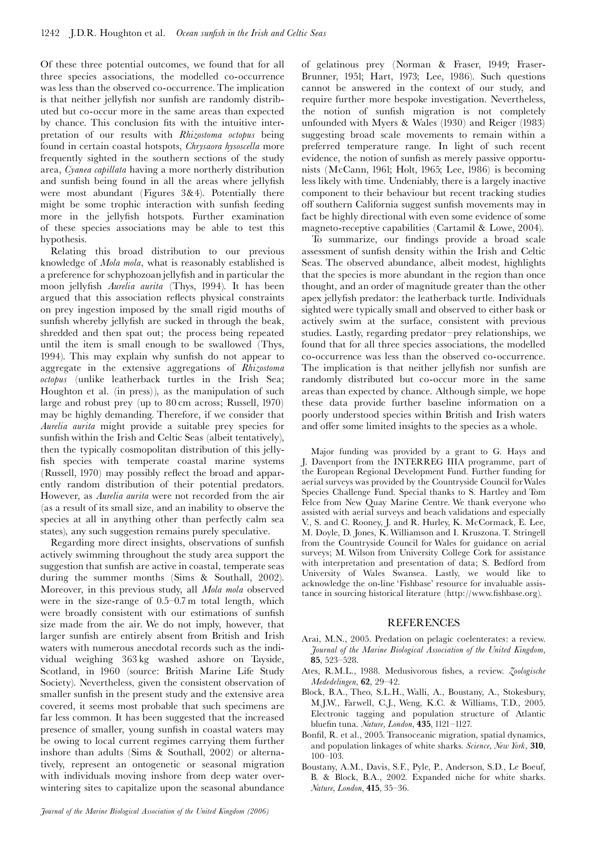Of these three potential outcomes, we found that for all three species associations, the modelled co-occurrence was less than the observed co-occurrence. The implication is that neither jellyfish nor sunfish are randomly distributed but co-occur more in the same areas than expected by chance. This conclusion fits with the intuitive interpretation of our results with Rhizostoma octopus being found in certain coastal hotspots, Chrysaora hysoscella more frequently sighted in the southern sections of the study area, Cyanea capillata having a more northerly distribution and sunfish being found in all the areas where jellyfish were most abundant (Figures 3&4). Potentially there might be some trophic interaction with sunfish feeding more in the jellyfish hotspots. Further examination of these species associations may be able to test this hypothesis.

Relating this broad distribution to our previous knowledge of Mola mola, what is reasonably established is a preference for schyphozoan jelly¢sh and in particular the moon jellyfish Aurelia aurita (Thys, 1994). It has been argued that this association reflects physical constraints on prey ingestion imposed by the small rigid mouths of sunfish whereby jellyfish are sucked in through the beak, shredded and then spat out; the process being repeated until the item is small enough to be swallowed (Thys, 1994). This may explain why sunfish do not appear to aggregate in the extensive aggregations of Rhizostoma octopus (unlike leatherback turtles in the Irish Sea; Houghton et al. (in press)), as the manipulation of such large and robust prey (up to 80 cm across; Russell, 1970) may be highly demanding. Therefore, if we consider that Aurelia aurita might provide a suitable prey species for sunfish within the Irish and Celtic Seas (albeit tentatively), then the typically cosmopolitan distribution of this jelly fish species with temperate coastal marine systems (Russell, 1970) may possibly reflect the broad and apparently random distribution of their potential predators. However, as Aurelia aurita were not recorded from the air (as a result of its small size, and an inability to observe the species at all in anything other than perfectly calm sea states), any such suggestion remains purely speculative.

Regarding more direct insights, observations of sunfish actively swimming throughout the study area support the suggestion that sunfish are active in coastal, temperate seas during the summer months (Sims & Southall, 2002). Moreover, in this previous study, all Mola mola observed were in the size-range of  $0.5-0.7$  m total length, which were broadly consistent with our estimations of sunfish size made from the air. We do not imply, however, that larger sunfish are entirely absent from British and Irish waters with numerous anecdotal records such as the individual weighing 363 kg washed ashore on Tayside, Scotland, in 1960 (source: British Marine Life Study Society). Nevertheless, given the consistent observation of smaller sunfish in the present study and the extensive area covered, it seems most probable that such specimens are far less common. It has been suggested that the increased presence of smaller, young sunfish in coastal waters may be owing to local current regimes carrying them further inshore than adults (Sims & Southall, 2002) or alternatively, represent an ontogenetic or seasonal migration with individuals moving inshore from deep water overwintering sites to capitalize upon the seasonal abundance

of gelatinous prey (Norman & Fraser, 1949; Fraser-Brunner, 1951; Hart, 1973; Lee, 1986). Such questions cannot be answered in the context of our study, and require further more bespoke investigation. Nevertheless, the notion of sunfish migration is not completely unfounded with Myers & Wales (1930) and Reiger (1983) suggesting broad scale movements to remain within a preferred temperature range. In light of such recent evidence, the notion of sunfish as merely passive opportunists (McCann, 1961; Holt, 1965; Lee, 1986) is becoming less likely with time. Undeniably, there is a largely inactive component to their behaviour but recent tracking studies off southern California suggest sunfish movements may in fact be highly directional with even some evidence of some magneto-receptive capabilities (Cartamil & Lowe, 2004).

To summarize, our findings provide a broad scale assessment of sunfish density within the Irish and Celtic Seas. The observed abundance, albeit modest, highlights that the species is more abundant in the region than once thought, and an order of magnitude greater than the other apex jelly¢sh predator: the leatherback turtle. Individuals sighted were typically small and observed to either bask or actively swim at the surface, consistent with previous studies. Lastly, regarding predator^prey relationships, we found that for all three species associations, the modelled co-occurrence was less than the observed co-occurrence. The implication is that neither jellyfish nor sunfish are randomly distributed but co-occur more in the same areas than expected by chance. Although simple, we hope these data provide further baseline information on a poorly understood species within British and Irish waters and offer some limited insights to the species as a whole.

Major funding was provided by a grant to G. Hays and J. Davenport from the INTERREG IIIA programme, part of the European Regional Development Fund. Further funding for aerial surveys was provided by the Countryside Council forWales Species Challenge Fund. Special thanks to S. Hartley and Tom Felce from New Quay Marine Centre. We thank everyone who assisted with aerial surveys and beach validations and especially V., S. and C. Rooney, J. and R. Hurley, K. McCormack, E. Lee, M. Doyle, D. Jones, K. Williamson and I. Kruszona. T. Stringell from the Countryside Council for Wales for guidance on aerial surveys; M. Wilson from University College Cork for assistance with interpretation and presentation of data; S. Bedford from University of Wales Swansea. Lastly, we would like to acknowledge the on-line 'Fishbase' resource for invaluable assistance in sourcing historical literature (http://www.fishbase.org).

#### REFERENCES

- Arai, M.N., 2005. Predation on pelagic coelenterates: a review. Journal of the Marine Biological Association of the United Kingdom, 85, 523^528.
- Ates, R.M.L., 1988. Medusivorous fishes, a review. Zoologische  $Mededelingen$ ,  $62$ ,  $29-42$ .
- Block, B.A., Theo, S.L.H., Walli, A., Boustany, A., Stokesbury, M.J.W., Farwell, C.J., Weng, K.C. & Williams, T.D., 2005. Electronic tagging and population structure of Atlantic bluefin tuna. Nature, London, 435, 1121-1127.
- Bonfil, R. et al., 2005. Transoceanic migration, spatial dynamics, and population linkages of white sharks. Science, New York, 310, 100^103.
- Boustany, A.M., Davis, S.F., Pyle, P., Anderson, S.D., Le Boeuf, B. & Block, B.A., 2002. Expanded niche for white sharks. Nature, London, 415, 35-36.